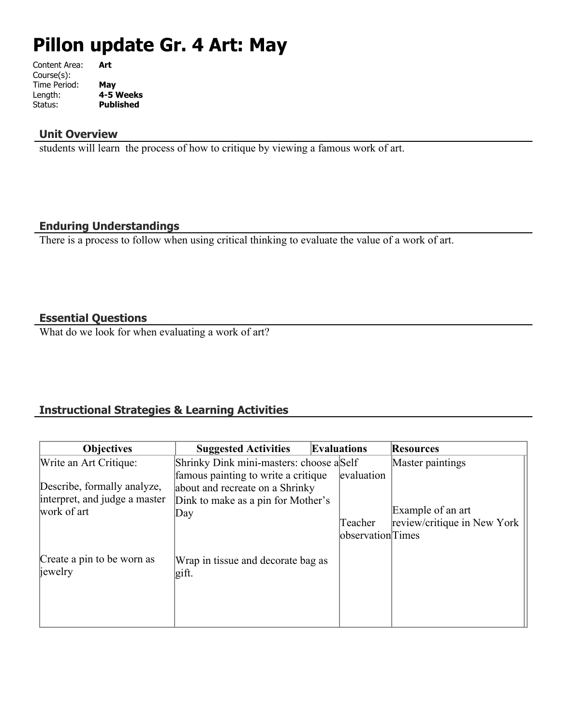# **Pillon update Gr. 4 Art: May**

| Art              |
|------------------|
|                  |
| May              |
| 4-5 Weeks        |
| <b>Published</b> |
|                  |

## **Unit Overview**

students will learn the process of how to critique by viewing a famous work of art.

## **Enduring Understandings**

There is a process to follow when using critical thinking to evaluate the value of a work of art.

## **Essential Questions**

What do we look for when evaluating a work of art?

## **Instructional Strategies & Learning Activities**

| <b>Objectives</b>                                                           | <b>Suggested Activities</b>                                                                                         | <b>Evaluations</b>                         | <b>Resources</b>                                 |
|-----------------------------------------------------------------------------|---------------------------------------------------------------------------------------------------------------------|--------------------------------------------|--------------------------------------------------|
| Write an Art Critique:                                                      | Shrinky Dink mini-masters: choose aSelf                                                                             |                                            | Master paintings                                 |
| Describe, formally analyze,<br>interpret, and judge a master<br>work of art | famous painting to write a critique<br>about and recreate on a Shrinky<br>Dink to make as a pin for Mother's<br>Day | evaluation<br>Teacher<br>observation Times | Example of an art<br>review/critique in New York |
| Create a pin to be worn as<br>jewelry                                       | Wrap in tissue and decorate bag as<br>gift.                                                                         |                                            |                                                  |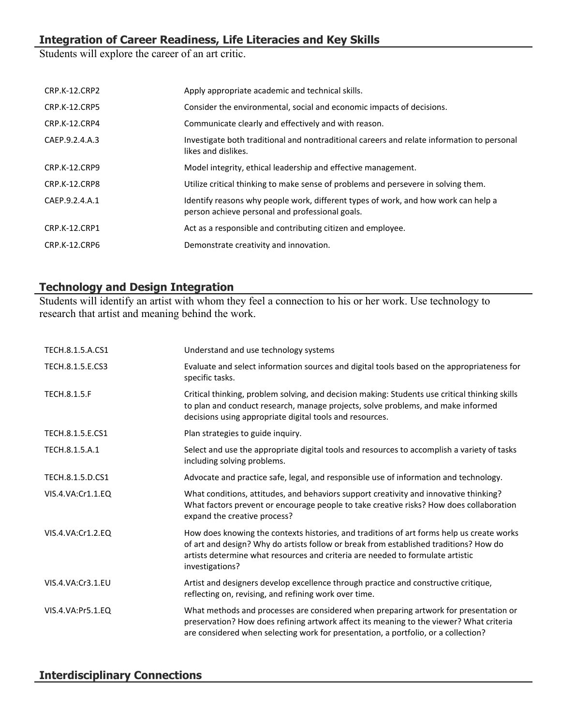# **Integration of Career Readiness, Life Literacies and Key Skills**

Students will explore the career of an art critic.

| CRP.K-12.CRP2        | Apply appropriate academic and technical skills.                                                                                      |
|----------------------|---------------------------------------------------------------------------------------------------------------------------------------|
| <b>CRP.K-12.CRP5</b> | Consider the environmental, social and economic impacts of decisions.                                                                 |
| CRP.K-12.CRP4        | Communicate clearly and effectively and with reason.                                                                                  |
| CAEP.9.2.4.A.3       | Investigate both traditional and nontraditional careers and relate information to personal<br>likes and dislikes.                     |
| CRP.K-12.CRP9        | Model integrity, ethical leadership and effective management.                                                                         |
| CRP.K-12.CRP8        | Utilize critical thinking to make sense of problems and persevere in solving them.                                                    |
| CAEP.9.2.4.A.1       | Identify reasons why people work, different types of work, and how work can help a<br>person achieve personal and professional goals. |
| CRP.K-12.CRP1        | Act as a responsible and contributing citizen and employee.                                                                           |
| CRP.K-12.CRP6        | Demonstrate creativity and innovation.                                                                                                |
|                      |                                                                                                                                       |

## **Technology and Design Integration**

Students will identify an artist with whom they feel a connection to his or her work. Use technology to research that artist and meaning behind the work.

| TECH.8.1.5.A.CS1    | Understand and use technology systems                                                                                                                                                                                                                                                   |
|---------------------|-----------------------------------------------------------------------------------------------------------------------------------------------------------------------------------------------------------------------------------------------------------------------------------------|
| TECH.8.1.5.E.CS3    | Evaluate and select information sources and digital tools based on the appropriateness for<br>specific tasks.                                                                                                                                                                           |
| <b>TECH.8.1.5.F</b> | Critical thinking, problem solving, and decision making: Students use critical thinking skills<br>to plan and conduct research, manage projects, solve problems, and make informed<br>decisions using appropriate digital tools and resources.                                          |
| TECH.8.1.5.E.CS1    | Plan strategies to guide inquiry.                                                                                                                                                                                                                                                       |
| TECH.8.1.5.A.1      | Select and use the appropriate digital tools and resources to accomplish a variety of tasks<br>including solving problems.                                                                                                                                                              |
| TECH.8.1.5.D.CS1    | Advocate and practice safe, legal, and responsible use of information and technology.                                                                                                                                                                                                   |
| VIS.4.VA:Cr1.1.EQ   | What conditions, attitudes, and behaviors support creativity and innovative thinking?<br>What factors prevent or encourage people to take creative risks? How does collaboration<br>expand the creative process?                                                                        |
| VIS.4.VA:Cr1.2.EQ   | How does knowing the contexts histories, and traditions of art forms help us create works<br>of art and design? Why do artists follow or break from established traditions? How do<br>artists determine what resources and criteria are needed to formulate artistic<br>investigations? |
| VIS.4.VA:Cr3.1.EU   | Artist and designers develop excellence through practice and constructive critique,<br>reflecting on, revising, and refining work over time.                                                                                                                                            |
| VIS.4.VA:Pr5.1.EQ   | What methods and processes are considered when preparing artwork for presentation or<br>preservation? How does refining artwork affect its meaning to the viewer? What criteria<br>are considered when selecting work for presentation, a portfolio, or a collection?                   |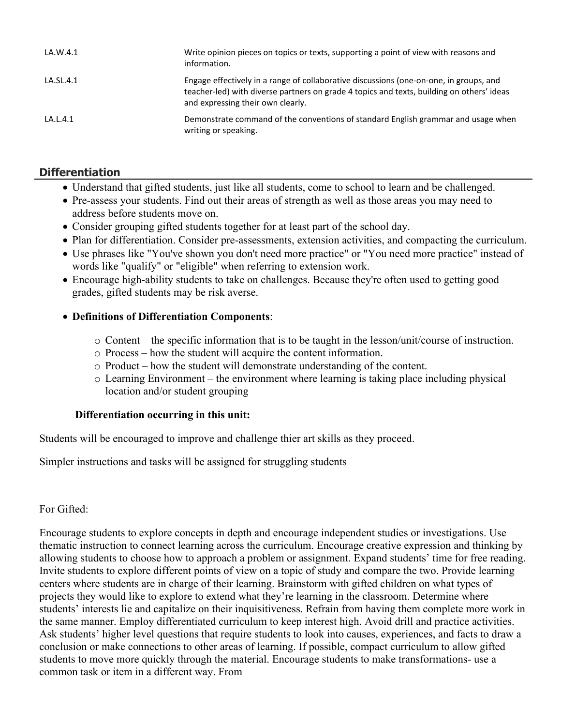| LA.W.4.1  | Write opinion pieces on topics or texts, supporting a point of view with reasons and<br>information.                                                                                                                     |
|-----------|--------------------------------------------------------------------------------------------------------------------------------------------------------------------------------------------------------------------------|
| LA.SL.4.1 | Engage effectively in a range of collaborative discussions (one-on-one, in groups, and<br>teacher-led) with diverse partners on grade 4 topics and texts, building on others' ideas<br>and expressing their own clearly. |
| LA.L.4.1  | Demonstrate command of the conventions of standard English grammar and usage when<br>writing or speaking.                                                                                                                |

## **Differentiation**

- Understand that gifted students, just like all students, come to school to learn and be challenged.
- Pre-assess your students. Find out their areas of strength as well as those areas you may need to address before students move on.
- Consider grouping gifted students together for at least part of the school day.
- Plan for differentiation. Consider pre-assessments, extension activities, and compacting the curriculum.
- Use phrases like "You've shown you don't need more practice" or "You need more practice" instead of words like "qualify" or "eligible" when referring to extension work.
- Encourage high-ability students to take on challenges. Because they're often used to getting good grades, gifted students may be risk averse.

#### **Definitions of Differentiation Components**:

- $\circ$  Content the specific information that is to be taught in the lesson/unit/course of instruction.
- o Process how the student will acquire the content information.
- o Product how the student will demonstrate understanding of the content.
- o Learning Environment the environment where learning is taking place including physical location and/or student grouping

#### **Differentiation occurring in this unit:**

Students will be encouraged to improve and challenge thier art skills as they proceed.

Simpler instructions and tasks will be assigned for struggling students

#### For Gifted:

Encourage students to explore concepts in depth and encourage independent studies or investigations. Use thematic instruction to connect learning across the curriculum. Encourage creative expression and thinking by allowing students to choose how to approach a problem or assignment. Expand students' time for free reading. Invite students to explore different points of view on a topic of study and compare the two. Provide learning centers where students are in charge of their learning. Brainstorm with gifted children on what types of projects they would like to explore to extend what they're learning in the classroom. Determine where students' interests lie and capitalize on their inquisitiveness. Refrain from having them complete more work in the same manner. Employ differentiated curriculum to keep interest high. Avoid drill and practice activities. Ask students' higher level questions that require students to look into causes, experiences, and facts to draw a conclusion or make connections to other areas of learning. If possible, compact curriculum to allow gifted students to move more quickly through the material. Encourage students to make transformations- use a common task or item in a different way. From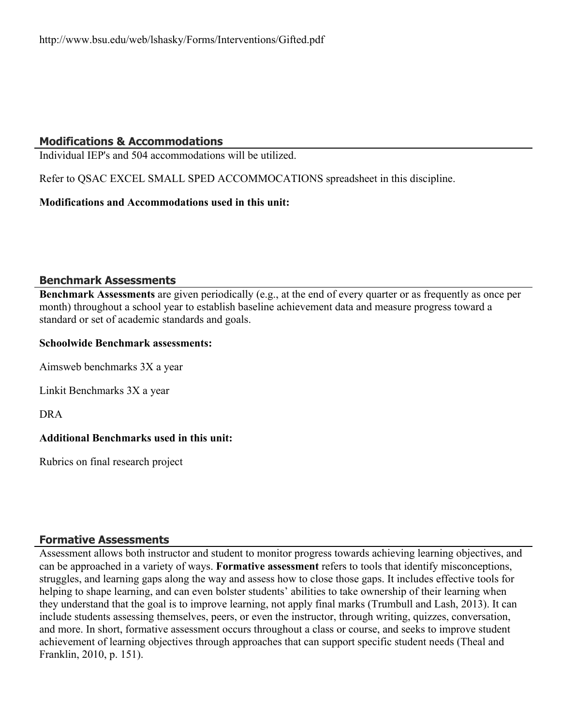## **Modifications & Accommodations**

Individual IEP's and 504 accommodations will be utilized.

Refer to QSAC EXCEL SMALL SPED ACCOMMOCATIONS spreadsheet in this discipline.

#### **Modifications and Accommodations used in this unit:**

#### **Benchmark Assessments**

**Benchmark Assessments** are given periodically (e.g., at the end of every quarter or as frequently as once per month) throughout a school year to establish baseline achievement data and measure progress toward a standard or set of academic standards and goals.

#### **Schoolwide Benchmark assessments:**

Aimsweb benchmarks 3X a year

Linkit Benchmarks 3X a year

DRA

## **Additional Benchmarks used in this unit:**

Rubrics on final research project

#### **Formative Assessments**

Assessment allows both instructor and student to monitor progress towards achieving learning objectives, and can be approached in a variety of ways. **Formative assessment** refers to tools that identify misconceptions, struggles, and learning gaps along the way and assess how to close those gaps. It includes effective tools for helping to shape learning, and can even bolster students' abilities to take ownership of their learning when they understand that the goal is to improve learning, not apply final marks (Trumbull and Lash, 2013). It can include students assessing themselves, peers, or even the instructor, through writing, quizzes, conversation, and more. In short, formative assessment occurs throughout a class or course, and seeks to improve student achievement of learning objectives through approaches that can support specific student needs (Theal and Franklin, 2010, p. 151).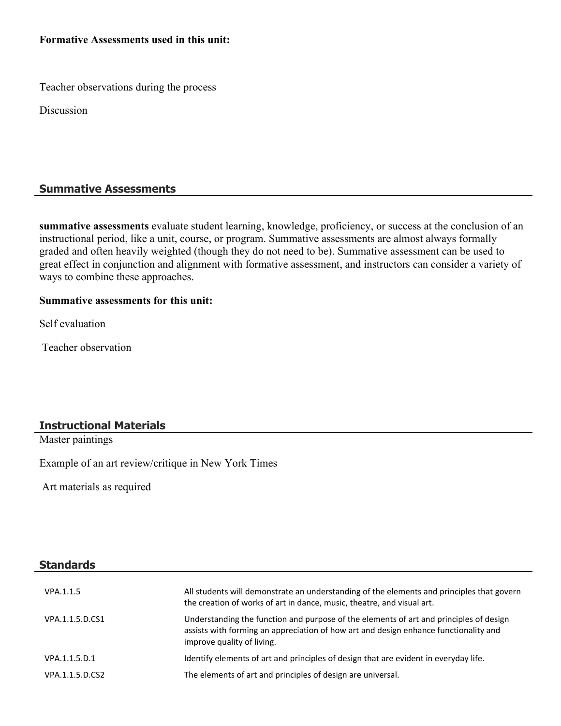#### **Formative Assessments used in this unit:**

Teacher observations during the process

Discussion

#### **Summative Assessments**

**summative assessments** evaluate student learning, knowledge, proficiency, or success at the conclusion of an instructional period, like a unit, course, or program. Summative assessments are almost always formally graded and often heavily weighted (though they do not need to be). Summative assessment can be used to great effect in conjunction and alignment with formative assessment, and instructors can consider a variety of ways to combine these approaches.

#### **Summative assessments for this unit:**

Self evaluation

Teacher observation

#### **Instructional Materials**

Master paintings

Example of an art review/critique in New York Times

Art materials as required

#### **Standards**

| VPA.1.1.5       | All students will demonstrate an understanding of the elements and principles that govern<br>the creation of works of art in dance, music, theatre, and visual art.                                          |
|-----------------|--------------------------------------------------------------------------------------------------------------------------------------------------------------------------------------------------------------|
| VPA.1.1.5.D.CS1 | Understanding the function and purpose of the elements of art and principles of design<br>assists with forming an appreciation of how art and design enhance functionality and<br>improve quality of living. |
| VPA.1.1.5.D.1   | Identify elements of art and principles of design that are evident in everyday life.                                                                                                                         |
| VPA.1.1.5.D.CS2 | The elements of art and principles of design are universal.                                                                                                                                                  |